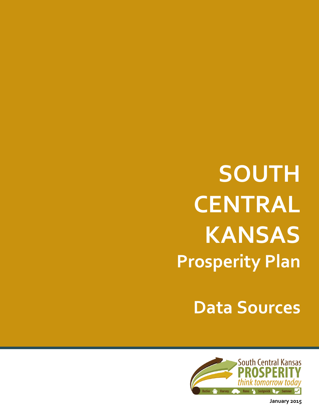**Data Sources**



**January 2015**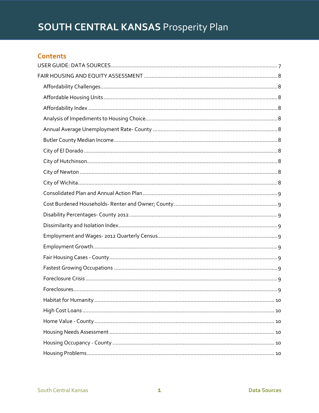# **Contents**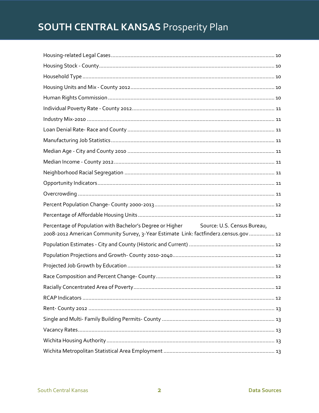| Percentage of Population with Bachelor's Degree or Higher Source: U.S. Census Bureau,<br>2008-2012 American Community Survey, 3-Year Estimate Link: factfinder2.census.gov  12 |
|--------------------------------------------------------------------------------------------------------------------------------------------------------------------------------|
|                                                                                                                                                                                |
|                                                                                                                                                                                |
|                                                                                                                                                                                |
|                                                                                                                                                                                |
|                                                                                                                                                                                |
|                                                                                                                                                                                |
|                                                                                                                                                                                |
|                                                                                                                                                                                |
|                                                                                                                                                                                |
|                                                                                                                                                                                |
|                                                                                                                                                                                |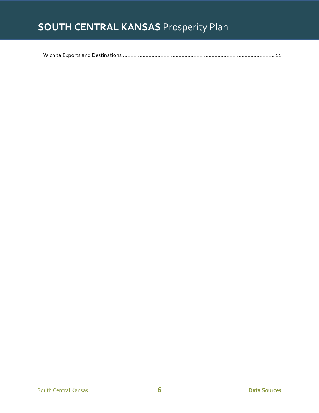<span id="page-6-0"></span>

|--|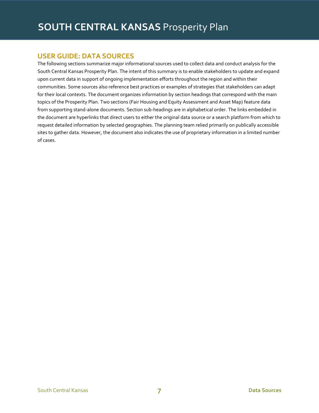# **USER GUIDE: DATA SOURCES**

The following sections summarize major informational sources used to collect data and conduct analysis for the South Central Kansas Prosperity Plan. The intent of this summary is to enable stakeholders to update and expand upon current data in support of ongoing implementation efforts throughout the region and within their communities. Some sources also reference best practices or examples of strategies that stakeholders can adapt for their local contexts. The document organizes information by section headings that correspond with the main topics of the Prosperity Plan. Two sections (Fair Housing and Equity Assessment and Asset Map) feature data from supporting stand-alone documents. Section sub-headings are in alphabetical order. The links embedded in the document are hyperlinks that direct users to either the original data source or a search platform from which to request detailed information by selected geographies. The planning team relied primarily on publically accessible sites to gather data. However, the document also indicates the use of proprietary information in a limited number of cases.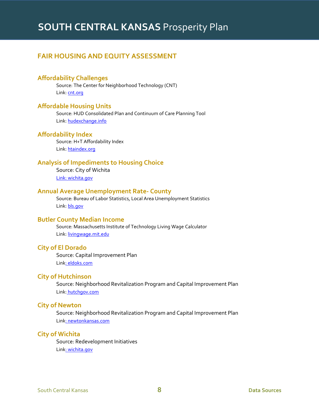# <span id="page-8-0"></span>**FAIR HOUSING AND EQUITY ASSESSMENT**

# <span id="page-8-1"></span>**Affordability Challenges**

Source: The Center for Neighborhood Technology (CNT) Link[: cnt.org](http://www.cnt.org/)

# <span id="page-8-2"></span>**Affordable Housing Units**

Source: HUD Consolidated Plan and Continuum of Care Planning Tool Link[: hudexchange.info](https://www.hudexchange.info/resource/2129/cpd-maps-consolidated-plan-and-continuum-of-care-planning-tool/)

# <span id="page-8-3"></span>**Affordability Index**

Source: H+T Affordability Index Link[: htaindex.org](http://htaindex.cnt.org/)

# <span id="page-8-4"></span>**Analysis of Impediments to Housing Choice**

Source: City of Wichita Link[: wichita.gov](http://www.wichita.gov/Government/Departments/Housing/HousingDocuments/Analysis%20of%20Impediments-December,%202010.pdf)

#### <span id="page-8-5"></span>**Annual Average Unemployment Rate- County**

Source: Bureau of Labor Statistics, Local Area Unemployment Statistics Link[: bls.gov](http://www.bls.gov/lau/)

#### <span id="page-8-6"></span>**Butler County Median Income**

Source: Massachusetts Institute of Technology Living Wage Calculator Link[: livingwage.mit.edu](http://livingwage.mit.edu/counties/20015)

#### <span id="page-8-7"></span>**City of El Dorado**

Source: Capital Improvement Plan Link[: eldoks.com](http://www.eldoks.com/)

#### <span id="page-8-8"></span>**City of Hutchinson**

Source: Neighborhood Revitalization Program and Capital Improvement Plan Link: [hutchgov.com](http://www.hutchgov.com/egov/docs/1396296457463.htm)

# <span id="page-8-9"></span>**City of Newton**

Source: Neighborhood Revitalization Program and Capital Improvement Plan Link[: newtonkansas.com](http://www.newtonkansas.com/)

# <span id="page-8-10"></span>**City of Wichita**

Source: Redevelopment Initiatives Link[: wichita.gov](http://www.wichita.gov/Pages/default.aspx)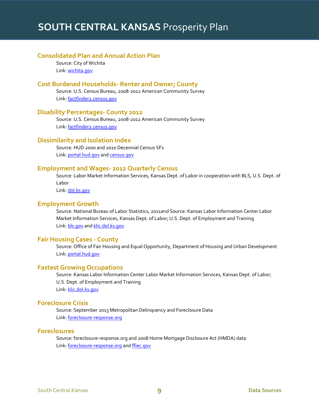# <span id="page-9-0"></span>**Consolidated Plan and Annual Action Plan**

Source: City of Wichita Link[: wichita.gov](http://www.wichita.gov/Government/Departments/Housing/HousingDocuments/2014-2018%20Con%20Plan%202014-2015%20AA%20Plan%20Draft%202.pdf)

# <span id="page-9-1"></span>**Cost Burdened Households- Renter and Owner; County**

Source: U.S. Census Bureau, 2008-2012 American Community Survey Link[: factfinder2.census.gov](http://factfinder2.census.gov/faces/nav/jsf/pages/searchresults.xhtml?refresh=t)

# <span id="page-9-2"></span>**Disability Percentages- County 2012**

Source: U.S. Census Bureau, 2008-2012 American Community Survey Link[: factfinder2.census.gov](http://factfinder2.census.gov/faces/nav/jsf/pages/searchresults.xhtml?refresh=t)

# <span id="page-9-3"></span>**Dissimilarity and Isolation Index**

Source: HUD 2000 and 2010 Decennial Census SF1 Link[: portal.hud.gov](http://portal.hud.gov/hudportal/HUD?src=/program_offices/comm_planning/systems/census) and [census.gov](http://www.census.gov/prod/cen2010/doc/sf1.pdf)

#### <span id="page-9-4"></span>**Employment and Wages- 2012 Quarterly Census**

Source: Labor Market Information Services, Kansas Dept. of Labor in cooperation with BLS, U.S. Dept. of Labor

Link[: dol.ks.gov](http://www.dol.ks.gov/LMIS/Default.aspx)

### <span id="page-9-5"></span>**Employment Growth**

Source: National Bureau of Labor Statistics, 2011and Source: Kansas Labor Information Center Labor Market Information Services, Kansas Dept. of Labor; U.S. Dept. of Employment and Training Link[: bls.gov](http://www.bls.gov/) an[d klic.dol.ks.gov](https://klic.dol.ks.gov/vosnet/Default.aspx)

#### <span id="page-9-6"></span>**Fair Housing Cases - County**

Source: Office of Fair Housing and Equal Opportunity, Department of Housing and Urban Development Link[: portal.hud.gov](http://portal.hud.gov/hudportal/HUD?src=/program_offices/fair_housing_equal_opp)

# <span id="page-9-7"></span>**Fastest Growing Occupations**

Source: Kansas Labor Information Center Labor Market Information Services, Kansas Dept. of Labor; U.S. Dept. of Employment and Training Link[: klic.dol.ks.gov](https://klic.dol.ks.gov/gsipub/index.asp?docid=442)

#### <span id="page-9-8"></span>**Foreclosure Crisis**

Source: September 2013 Metropolitan Delinquency and Foreclosure Data Link[: foreclosure-response.org](http://www.foreclosure-response.org/maps_and_data/metro_delinquency_data_tables.html)

# <span id="page-9-9"></span>**Foreclosures**

Source: foreclosure-response.org and 2008 Home Mortgage Disclosure Act (HMDA) data Link[: foreclosure-response.org](http://www.foreclosure-response.org/maps_and_data/index.html) an[d ffiec.gov](http://www.ffiec.gov/hmda/hmdaproducts.htm)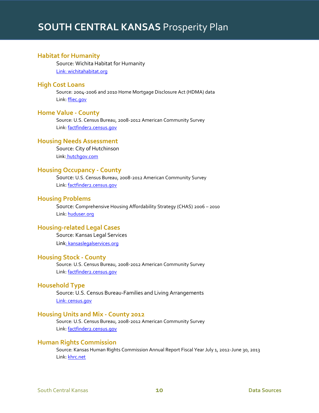# <span id="page-10-0"></span>**Habitat for Humanity**

Source: Wichita Habitat for Humanity Link[: wichitahabitat.org](http://www.wichitahabitat.org/)

#### <span id="page-10-1"></span>**High Cost Loans**

Source: 2004-2006 and 2010 Home Mortgage Disclosure Act (HDMA) data Link[: ffiec.gov](http://www.ffiec.gov/hmda/hmdaproducts.htm)

#### <span id="page-10-2"></span>**Home Value - County**

Source: U.S. Census Bureau, 2008-2012 American Community Survey Link[: factfinder2.census.gov](http://factfinder2.census.gov/faces/nav/jsf/pages/searchresults.xhtml?refresh=t#none)

# <span id="page-10-3"></span>**Housing Needs Assessment**

Source: City of Hutchinson Link: [hutchgov.com](http://www.hutchgov.com/egov/docs/1244669490_78186.pdf)

# <span id="page-10-4"></span>**Housing Occupancy - County**

Source: U.S. Census Bureau, 2008-2012 American Community Survey Link[: factfinder2.census.gov](http://factfinder2.census.gov/faces/nav/jsf/pages/searchresults.xhtml?refresh=t)

# <span id="page-10-5"></span>**Housing Problems**

Source: Comprehensive Housing Affordability Strategy (CHAS) 2006 – 2010 Link[: huduser.org](http://www.huduser.org/portal/datasets/cp.html)

# <span id="page-10-6"></span>**Housing-related Legal Cases**

Source: Kansas Legal Services Link[: kansaslegalservices.org](http://www.kansaslegalservices.org/node/908/kansas-legal-services-annual-reports)

#### <span id="page-10-7"></span>**Housing Stock - County**

Source: U.S. Census Bureau, 2008-2012 American Community Survey Link[: factfinder2.census.gov](http://factfinder2.census.gov/faces/nav/jsf/pages/searchresults.xhtml?refresh=t)

# <span id="page-10-8"></span>**Household Type**

Source: U.S. Census Bureau-Families and Living Arrangements Link[: census.gov](http://www.census.gov/hhes/families/)

#### <span id="page-10-9"></span>**Housing Units and Mix - County 2012**

Source: U.S. Census Bureau, 2008-2012 American Community Survey Link[: factfinder2.census.gov](http://factfinder2.census.gov/faces/nav/jsf/pages/searchresults.xhtml?refresh=t#none)

#### <span id="page-10-10"></span>**Human Rights Commission**

Source: Kansas Human Rights Commission Annual Report Fiscal Year July 1, 2012-June 30, 2013 Link[: khrc.net](http://www.khrc.net/pdf/AR2013.pdf)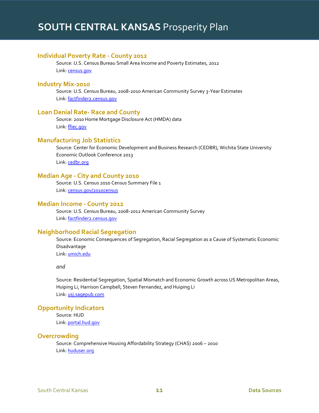### <span id="page-11-0"></span>**Individual Poverty Rate - County 2012**

Source: U.S. Census Bureau Small Area Income and Poverty Estimates, 2012 Link[: census.gov](http://www.census.gov/did/www/saipe/)

#### <span id="page-11-1"></span>**Industry Mix-2010**

Source: U.S. Census Bureau, 2008-2010 American Community Survey 3-Year Estimates Link[: factfinder2.census.gov](http://factfinder2.census.gov/faces/nav/jsf/pages/searchresults.xhtml?refresh=t)

# <span id="page-11-2"></span>**Loan Denial Rate- Race and County**

Source: 2010 Home Mortgage Disclosure Act (HMDA) data Link[: ffiec.gov](http://www.ffiec.gov/hmdaadwebreport/aggwelcome.aspx)

# <span id="page-11-3"></span>**Manufacturing Job Statistics**

Source: Center for Economic Development and Business Research (CEDBR), Wichita State University Economic Outlook Conference 2013 Link[: cedbr.org](http://www.cedbr.org/index.php?option=com_content&view=article&id=748&Itemid=373)

#### <span id="page-11-4"></span>**Median Age - City and County 2010**

Source: U.S. Census 2010 Census Summary File 1 Link[: census.gov/2010census](http://www.census.gov/2010census/news/press-kits/summary-file-1.html)

# <span id="page-11-5"></span>**Median Income - County 2012**

Source: U.S. Census Bureau, 2008-2012 American Community Survey Link[: factfinder2.census.gov](http://factfinder2.census.gov/faces/nav/jsf/pages/searchresults.xhtml?refresh=t)

# <span id="page-11-6"></span>**Neighborhood Racial Segregation**

Source: Economic Consequences of Segregation, Racial Segregation as a Cause of Systematic Economic Disadvantage

Link[: umich.edu](http://www.umich.edu/~lawrace/consequences.htm)

*and*

Source: Residential Segregation, Spatial Mismatch and Economic Growth across US Metropolitan Areas, Huiping Li, Harrison Campbell, Steven Fernandez, and Huiping Li Link[: usj.sagepub.com](http://usj.sagepub.com/content/early/2013/03/01/0042098013477697)

# <span id="page-11-7"></span>**Opportunity Indicators**

Source: HUD Link[: portal.hud.gov](http://portal.hud.gov/hudportal/HUD)

#### <span id="page-11-8"></span>**Overcrowding**

Source: Comprehensive Housing Affordability Strategy (CHAS) 2006 – 2010 Link[: huduser.org](http://www.huduser.org/portal/datasets/cp/CHAS/bg_chas.html)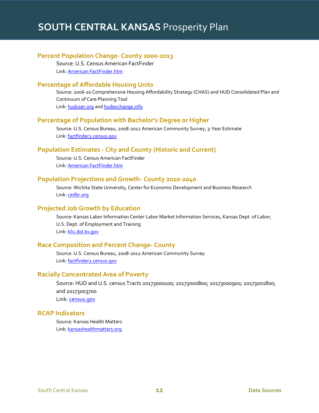# <span id="page-12-0"></span>**Percent Population Change- County 2000-2013**

Source: U.S. Census American FactFinder Link[: American FactFinder.htm](http://factfinder2.census.gov/faces/nav/jsf/pages/index.xhtml)

# <span id="page-12-1"></span>**Percentage of Affordable Housing Units**

Source: 2006-10 Comprehensive Housing Affordability Strategy (CHAS) and HUD Consolidated Plan and Continuum of Care Planning Tool Link[: huduser.org](http://www.huduser.org/portal/datasets/cp.html) and [hudexchange.info](https://www.hudexchange.info/resource/2129/cpd-maps-consolidated-plan-and-continuum-of-care-planning-tool/)

# <span id="page-12-2"></span>**Percentage of Population with Bachelor's Degree or Higher**

Source: U.S. Census Bureau, 2008-2012 American Community Survey, 3-Year Estimate Link[: factfinder2.census.gov](http://factfinder2.census.gov/faces/nav/jsf/pages/searchresults.xhtml?refresh=t)

# <span id="page-12-3"></span>**Population Estimates - City and County (Historic and Current)**

Source: U.S. Census American FactFinder Link[: American FactFinder.htm](http://factfinder2.census.gov/faces/nav/jsf/pages/index.xhtml)

#### <span id="page-12-4"></span>**Population Projections and Growth- County 2010-2040**

Source: Wichita State University, Center for Economic Development and Business Research Link[: cedbr.org](http://cedbr.org/index.php?option=com_content&view=article&id=563&Itemid=220)

# <span id="page-12-5"></span>**Projected Job Growth by Education**

Source: Kansas Labor Information Center Labor Market Information Services, Kansas Dept. of Labor; U.S. Dept. of Employment and Training Link[: klic.dol.ks.gov](https://klic.dol.ks.gov/gsipub/index.asp?docid=442)

# <span id="page-12-6"></span>**Race Composition and Percent Change- County**

Source: U.S. Census Bureau, 2008-2012 American Community Survey Link[: factfinder2.census.gov](http://factfinder2.census.gov/faces/nav/jsf/pages/searchresults.xhtml?refresh=t)

# <span id="page-12-7"></span>**Racially Concentrated Area of Poverty**

Source: HUD and U.S. census Tracts 20173000100; 20173000800; 20173000900; 20173001800; and 20173003700 Link[: census.gov](http://www.census.gov/geo/maps-data/maps/2010ref/st20_tract.html)

# <span id="page-12-8"></span>**RCAP Indicators**

Source: Kansas Health Matters Link[: kansashealthmatters.org](http://www.kansashealthmatters.org/index.php)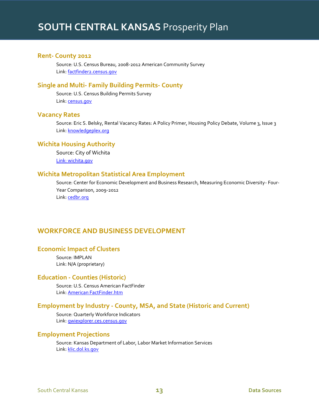# <span id="page-13-0"></span>**Rent- County 2012**

Source: U.S. Census Bureau, 2008-2012 American Community Survey Link[: factfinder2.census.gov](http://factfinder2.census.gov/faces/nav/jsf/pages/searchresults.xhtml?refresh=t)

#### <span id="page-13-1"></span>**Single and Multi- Family Building Permits- County**

Source: U.S. Census Building Permits Survey Link[: census.gov](http://www.census.gov/construction/bps/)

# <span id="page-13-2"></span>**Vacancy Rates**

Source: Eric S. Belsky, Rental Vacancy Rates: A Policy Primer, Housing Policy Debate, Volume 3, Issue 3 Link[: knowledgeplex.org](http://content.knowledgeplex.org/kp2/img/cache/kp/2627.pdf)

# <span id="page-13-3"></span>**Wichita Housing Authority**

Source: City of Wichita Link[: wichita.gov](http://www.wichita.gov/Government/Departments/Housing/Pages/PublicHousing.aspx)

#### <span id="page-13-4"></span>**Wichita Metropolitan Statistical Area Employment**

Source: Center for Economic Development and Business Research, Measuring Economic Diversity- Four-Year Comparison, 2009-2012 Link[: cedbr.org](http://www.cedbr.org/index.php?option=com_content&view=featured&Itemid=238)

# <span id="page-13-5"></span>**WORKFORCE AND BUSINESS DEVELOPMENT**

#### <span id="page-13-6"></span>**Economic Impact of Clusters**

Source: IMPLAN Link: N/A (proprietary)

# <span id="page-13-7"></span>**Education - Counties (Historic)**

Source: U.S. Census American FactFinder Link[: American FactFinder.htm](file:///C:/Users/drakel/Documents/American%20FactFinder.htm)

# <span id="page-13-8"></span>**Employment by Industry - County, MSA, and State (Historic and Current)**

Source: Quarterly Workforce Indicators Link[: qwiexplorer.ces.census.gov](http://qwiexplorer.ces.census.gov/)

#### <span id="page-13-9"></span>**Employment Projections**

Source: Kansas Department of Labor, Labor Market Information Services Link[: klic.dol.ks.gov](https://klic.dol.ks.gov/gsipub/index.asp?docid=442)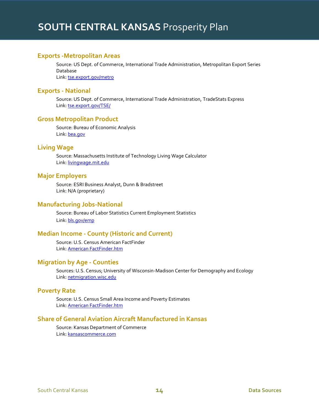# <span id="page-14-0"></span>**Exports -Metropolitan Areas**

Source: US Dept. of Commerce, International Trade Administration, Metropolitan Export Series Database Link[: tse.export.gov/metro](http://tse.export.gov/metro/SelectReports.aspx?DATA=Metro)

<span id="page-14-1"></span>**Exports - National** 

Source: US Dept. of Commerce, International Trade Administration, TradeStats Express Link[: tse.export.gov/TSE/](http://tse.export.gov/TSE/TSEReports.aspx?DATA=NTD)

#### <span id="page-14-2"></span>**Gross Metropolitan Product**

Source: Bureau of Economic Analysis Link[: bea.gov](http://www.bea.gov/iTable/iTable.cfm?reqid=70&step=1&isuri=1&acrdn=2#reqid=70&step=1&isuri=1&acrdn=2)

#### <span id="page-14-3"></span>**Living Wage**

Source: Massachusetts Institute of Technology Living Wage Calculator Link[: livingwage.mit.edu](http://livingwage.mit.edu/states/20/locations)

# <span id="page-14-4"></span>**Major Employers**

Source: ESRI Business Analyst, Dunn & Bradstreet Link: N/A (proprietary)

# <span id="page-14-5"></span>**Manufacturing Jobs-National**

Source: Bureau of Labor Statistics Current Employment Statistics Link[: bls.gov/emp](http://www.bls.gov/emp/#tables)

# <span id="page-14-6"></span>**Median Income - County (Historic and Current)**

Source: U.S. Census American FactFinder Link[: American FactFinder.htm](file:///C:/Users/drakel/Documents/American%20FactFinder.htm)

# <span id="page-14-7"></span>**Migration by Age - Counties**

Sources: U.S. Census; University of Wisconsin-Madison Center for Demography and Ecology Link[: netmigration.wisc.edu](http://www.netmigration.wisc.edu/about.php)

#### <span id="page-14-8"></span>**Poverty Rate**

Source: U.S. Census Small Area Income and Poverty Estimates Link[: American FactFinder.htm](file:///C:/Users/drakel/Documents/American%20FactFinder.htm)

# <span id="page-14-9"></span>**Share of General Aviation Aircraft Manufactured in Kansas**

Source: Kansas Department of Commerce Link[: kansascommerce.com](http://www.kansascommerce.com/index.aspx?NID=469)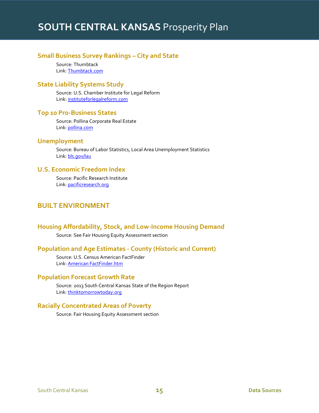# <span id="page-15-0"></span>**Small Business Survey Rankings – City and State**

Source: Thumbtack Link[: Thumbtack.com](http://www.thumbtack.com/ks/#/2013/1)

# <span id="page-15-1"></span>**State Liability Systems Study**

Source: U.S. Chamber Institute for Legal Reform Link[: instituteforlegalreform.com](http://www.instituteforlegalreform.com/states/kansas)

# <span id="page-15-2"></span>**Top 10 Pro-Business States**

Source: Pollina Corporate Real Estate Link[: pollina.com](http://www.pollina.com/top10probusiness.html)

# <span id="page-15-3"></span>**Unemployment**

Source: Bureau of Labor Statistics, Local Area Unemployment Statistics Link[: bls.gov/lau](http://data.bls.gov/pdq/querytool.jsp?survey=la)

# <span id="page-15-4"></span>**U.S. Economic Freedom Index**

Source: Pacific Research Institute Link[: pacificresearch.org](http://www.pacificresearch.org/docLib/20080909_Economic_Freedom_Index_2008.pdf)

# <span id="page-15-5"></span>**BUILT ENVIRONMENT**

# <span id="page-15-6"></span>**Housing Affordability, Stock, and Low-Income Housing Demand**

Source: See Fair Housing Equity Assessment section

#### <span id="page-15-7"></span>**Population and Age Estimates - County (Historic and Current)**

Source: U.S. Census American FactFinder Link[: American FactFinder.htm](file:///C:/Users/drakel/Documents/American%20FactFinder.htm)

#### <span id="page-15-8"></span>**Population Forecast Growth Rate**

Source: 2013 South Central Kansas State of the Region Report Link[: thinktomorrowtoday.org](http://www.thinktomorrowtoday.org/media/files/congress/SCK_State_of_the_Region_Report_12_10_13.pdf)

# <span id="page-15-9"></span>**Racially Concentrated Areas of Poverty**

Source: Fair Housing Equity Assessment section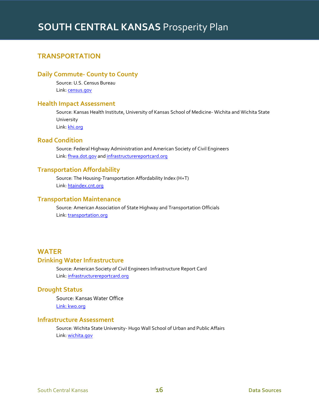# <span id="page-16-0"></span>**TRANSPORTATION**

# <span id="page-16-1"></span>**Daily Commute- County to County**

Source: U.S. Census Bureau Link[: census.gov](http://www.census.gov/population/metro/data/other.html)

# <span id="page-16-2"></span>**Health Impact Assessment**

Source: Kansas Health Institute, University of Kansas School of Medicine- Wichita and Wichita State University Link[: khi.org](http://www.khi.org/news/hia/)

# <span id="page-16-3"></span>**Road Condition**

Source: Federal Highway Administration and American Society of Civil Engineers Link[: fhwa.dot.gov](http://www.fhwa.dot.gov/asset/pubs.cfm) and [infrastructurereportcard.org](http://www.infrastructurereportcard.org/grades/)

# <span id="page-16-4"></span>**Transportation Affordability**

Source: The Housing-Transportation Affordability Index (H+T) Link[: htaindex.cnt.org](http://htaindex.cnt.org/map/)

# <span id="page-16-5"></span>**Transportation Maintenance**

Source: American Association of State Highway and Transportation Officials Link[: transportation.org](http://www.transportation.org/Pages/Default.aspx)

# <span id="page-16-7"></span><span id="page-16-6"></span>**WATER Drinking Water Infrastructure**

Source: American Society of Civil Engineers Infrastructure Report Card Link[: infrastructurereportcard.org](http://www.infrastructurereportcard.org/kansas/kansas-overview/)

# <span id="page-16-8"></span>**Drought Status**

Source: Kansas Water Office Link[: kwo.org](http://www.kwo.org/reports_publications/Drought.htm)

#### <span id="page-16-10"></span><span id="page-16-9"></span>**Infrastructure Assessment**

Source: Wichita State University- Hugo Wall School of Urban and Public Affairs Link[: wichita.gov](http://www.wichita.gov/Government/Departments/Planning/PlanningDocument/Nov%202012%20WSU%20Infrastructure%20Report.pdf)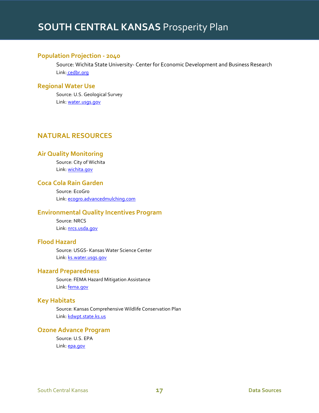# **Population Projection - 2040**

Source: Wichita State University- Center for Economic Development and Business Research Link: [cedbr.org](http://www.cedbr.org/index.php?option=com_content&view=article&id=563&Itemid=220)

# <span id="page-17-0"></span>**Regional Water Use**

Source: U.S. Geological Survey Link[: water.usgs.gov](http://water.usgs.gov/edu/wateruse.html)

# <span id="page-17-1"></span>**NATURAL RESOURCES**

# <span id="page-17-2"></span>**Air Quality Monitoring**

Source: City of Wichita Link[: wichita.gov](http://www.wichita.gov/Government/Departments/PWU/Pages/AirQuality.aspx)

# <span id="page-17-3"></span>**Coca Cola Rain Garden**

Source: EcoGro Link[: ecogro.advancedmulching.com](http://ecogro.advancedmulching.com/sites/default/files/ecogro/pdfs/Wichita%20Rain%20Garden%20Project%20Profile.pdf)

# <span id="page-17-4"></span>**Environmental Quality Incentives Program**

Source: NRCS Link[: nrcs.usda.gov](http://www.nrcs.usda.gov/wps/portal/nrcs/main/national/programs/financial/eqip/)

# <span id="page-17-5"></span>**Flood Hazard**

Source: USGS- Kansas Water Science Center Link[: ks.water.usgs.gov](http://ks.water.usgs.gov/ks-flood)

# <span id="page-17-6"></span>**Hazard Preparedness**

Source: FEMA Hazard Mitigation Assistance Link[: fema.gov](http://www.fema.gov/hazard-mitigation-assistance)

# <span id="page-17-7"></span>**Key Habitats**

Source: Kansas Comprehensive Wildlife Conservation Plan Link[: kdwpt.state.ks.us](http://kdwpt.state.ks.us/news/Services/Kansas-CWCP/Kansas-CWCP)

# <span id="page-17-8"></span>**Ozone Advance Program**

Source: U.S. EPA Link[: epa.gov](http://www.epa.gov/ozoneadvance/)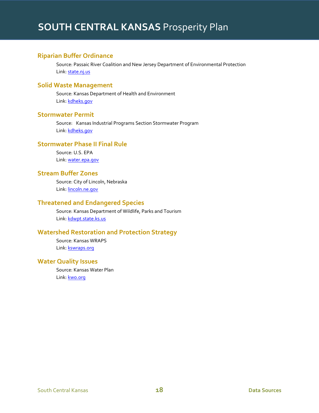# <span id="page-18-0"></span>**Riparian Buffer Ordinance**

Source: Passaic River Coalition and New Jersey Department of Environmental Protection Link[: state.nj.us](http://www.state.nj.us/dep/watershedmgt/DOCS/pdfs/StreamBufferOrdinance.pdf)

### <span id="page-18-1"></span>**Solid Waste Management**

Source: Kansas Department of Health and Environment Link[: kdheks.gov](http://www.kdheks.gov/waste/)

# <span id="page-18-2"></span>**Stormwater Permit**

Source: Kansas Industrial Programs Section Stormwater Program Link[: kdheks.gov](http://www.kdheks.gov/stormwater/index.html)

# <span id="page-18-3"></span>**Stormwater Phase II Final Rule**

Source: U.S. EPA Link[: water.epa.gov](http://water.epa.gov/polwaste/npdes/stormwater/Stormwater-Phase-II-Final-Rule-Fact-Sheet-Series.cfm)

# <span id="page-18-4"></span>**Stream Buffer Zones**

Source: City of Lincoln, Nebraska Link[: lincoln.ne.gov](http://www.lincoln.ne.gov/CITY/pworks/watrshed/mfptf/meetings/2002/111902/afms/pdf/section4/section4-1-3.pdf)

# <span id="page-18-5"></span>**Threatened and Endangered Species**

Source: Kansas Department of Wildlife, Parks and Tourism Link[: kdwpt.state.ks.us](http://kdwpt.state.ks.us/Services/Threatened-and-Endangered-Wildlife)

# <span id="page-18-6"></span>**Watershed Restoration and Protection Strategy**

Source: Kansas WRAPS Link[: kswraps.org](http://www.kswraps.org/)

# <span id="page-18-7"></span>**Water Quality Issues**

<span id="page-18-8"></span>Source: Kansas Water Plan Link[: kwo.org](http://www.kwo.org/Kansas_Water_Plan/Kansas_Water_Plan.htm)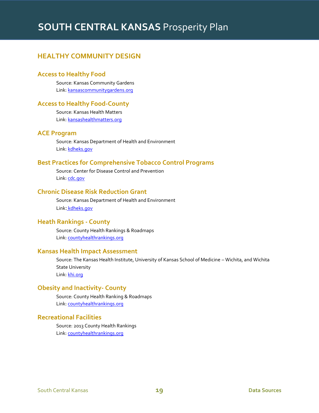# **HEALTHY COMMUNITY DESIGN**

# <span id="page-19-0"></span>**Access to Healthy Food**

Source: Kansas Community Gardens Link[: kansascommunitygardens.org](http://www.kansascommunitygardens.org/)

### <span id="page-19-1"></span>**Access to Healthy Food-County**

Source: Kansas Health Matters Link[: kansashealthmatters.org](http://www.kansashealthmatters.org/modules.php?op=modload&name=NS-Indicator&file=indicator&iid=11070691)

# <span id="page-19-2"></span>**ACE Program**

Source: Kansas Department of Health and Environment Link[: kdheks.gov](http://www.kdheks.gov/tobacco/ACE.htm)

# <span id="page-19-3"></span>**Best Practices for Comprehensive Tobacco Control Programs**

Source: Center for Disease Control and Prevention Link[: cdc.gov](http://www.cdc.gov/tobacco/stateandcommunity/best_practices/index.htm)

# <span id="page-19-4"></span>**Chronic Disease Risk Reduction Grant**

Source: Kansas Department of Health and Environment Link: [kdheks.gov](http://www.kdheks.gov/doc_lib/ChronicDiseaseRiskReductionRpts.html)

# <span id="page-19-5"></span>**Heath Rankings - County**

Source: County Health Rankings & Roadmaps Link[: countyhealthrankings.org](http://www.countyhealthrankings.org/)

### <span id="page-19-6"></span>**Kansas Health Impact Assessment**

Source: The Kansas Health Institute, University of Kansas School of Medicine – Wichita, and Wichita State University Link[: khi.org](http://www.khi.org/news/hia/)

#### <span id="page-19-7"></span>**Obesity and Inactivity- County**

Source: County Health Ranking & Roadmaps Link[: countyhealthrankings.org](http://www.countyhealthrankings.org/)

### <span id="page-19-8"></span>**Recreational Facilities**

<span id="page-19-9"></span>Source: 2013 County Health Rankings Link[: countyhealthrankings.org](http://www.countyhealthrankings.org/)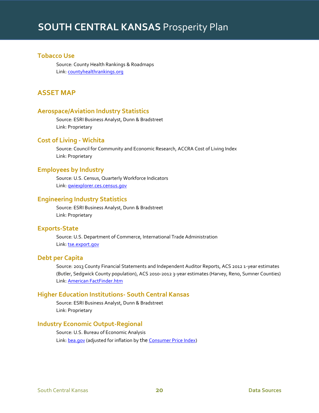# **Tobacco Use**

<span id="page-20-0"></span>Source: County Health Rankings & Roadmaps Link[: countyhealthrankings.org](http://www.countyhealthrankings.org/)

# **ASSET MAP**

# <span id="page-20-1"></span>**Aerospace/Aviation Industry Statistics**

Source: ESRI Business Analyst, Dunn & Bradstreet Link: Proprietary

# <span id="page-20-2"></span>**Cost of Living - Wichita**

Source: Council for Community and Economic Research, ACCRA Cost of Living Index Link: Proprietary

# <span id="page-20-3"></span>**Employees by Industry**

Source: U.S. Census, Quarterly Workforce Indicators Link[: qwiexplorer.ces.census.gov](http://qwiexplorer.ces.census.gov/)

#### <span id="page-20-4"></span>**Engineering Industry Statistics**

Source: ESRI Business Analyst, Dunn & Bradstreet Link: Proprietary

# <span id="page-20-5"></span>**Exports-State**

Source: U.S. Department of Commerce, International Trade Administration Link[: tse.export.gov](http://tse.export.gov/metro/SelectReports.aspx?DATA=Metro)

# <span id="page-20-6"></span>**Debt per Capita**

Source: 2013 County Financial Statements and Independent Auditor Reports, ACS 2012 1-year estimates (Butler, Sedgwick County population), ACS 2010-2012 3-year estimates (Harvey, Reno, Sumner Counties) Link[: American FactFinder.htm](http://factfinder2.census.gov/faces/nav/jsf/pages/index.xhtml)

#### <span id="page-20-7"></span>**Higher Education Institutions- South Central Kansas**

Source: ESRI Business Analyst, Dunn & Bradstreet Link: Proprietary

# <span id="page-20-8"></span>**Industry Economic Output-Regional**

<span id="page-20-9"></span>Source: U.S. Bureau of Economic Analysis Link: **bea.gov** (adjusted for inflation by the [Consumer Price Index\)](http://www.bls.gov/cpi/)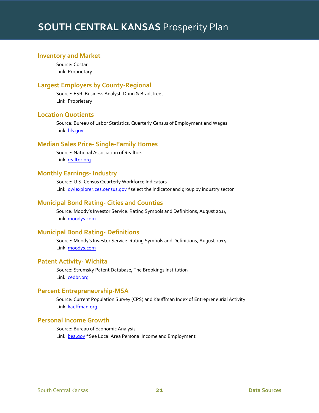# **Inventory and Market**

Source: Costar Link: Proprietary

# <span id="page-21-0"></span>**Largest Employers by County-Regional**

Source: ESRI Business Analyst, Dunn & Bradstreet Link: Proprietary

# <span id="page-21-1"></span>**Location Quotients**

Source: Bureau of Labor Statistics, Quarterly Census of Employment and Wages Link[: bls.gov](http://data.bls.gov/location_quotient/ControllerServlet)

# <span id="page-21-2"></span>**Median Sales Price- Single-Family Homes**

Source: National Association of Realtors Link[: realtor.org](http://www.realtor.org/topics/metropolitan-median-area-prices-and-affordability/data)

#### <span id="page-21-3"></span>**Monthly Earnings- Industry**

Source: U.S. Census Quarterly Workforce Indicators Link: **qwiexplorer.ces.census.gov** \*select the indicator and group by industry sector

#### <span id="page-21-4"></span>**Municipal Bond Rating- Cities and Counties**

Source: Moody's Investor Service. Rating Symbols and Definitions, August 2014 Link[: moodys.com](https://www.moodys.com/page/lookuparating.aspx)

# <span id="page-21-5"></span>**Municipal Bond Rating- Definitions**

Source: Moody's Investor Service. Rating Symbols and Definitions, August 2014 Link[: moodys.com](https://www.moodys.com/researchdocumentcontentpage.aspx?docid=PBC_79004)

# <span id="page-21-6"></span>**Patent Activity- Wichita**

Source: Strumsky Patent Database, The Brookings Institution Link[: cedbr.org](http://www.pandora.com/station/play/2068466038201367777)

### <span id="page-21-7"></span>**Percent Entrepreneurship-MSA**

Source: Current Population Survey (CPS) and Kauffman Index of Entrepreneurial Activity Link[: kauffman.org](http://www.kauffman.org/what-we-do/research/kauffman-index-of-entrepreneurial-activity/kauffman-index-of-entrepreneurial-activity-data-files)

# <span id="page-21-8"></span>**Personal Income Growth**

<span id="page-21-9"></span>Source: Bureau of Economic Analysis Link: **bea.gov** \*See Local Area Personal Income and Employment